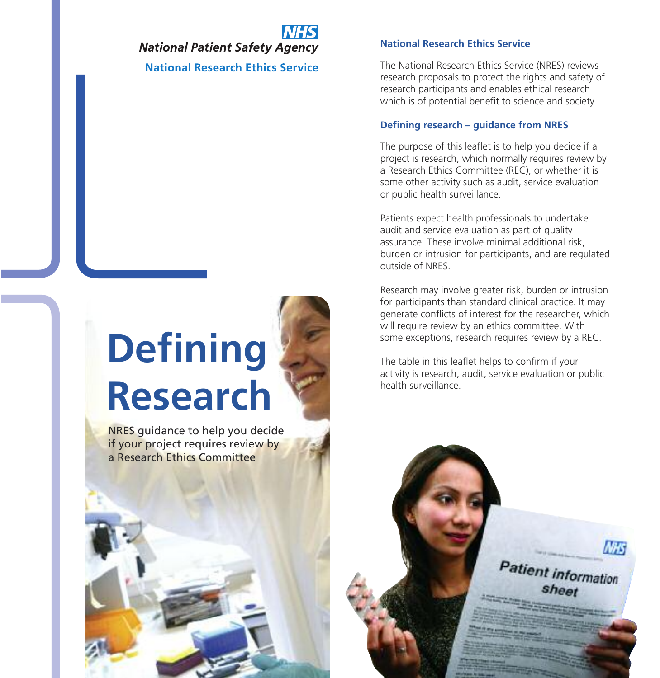**National Patient Safety Agency National Research Ethics Service** 

# **Defining Research**

NRES guidance to help you decide if your project requires review by a Research Ethics Committee

# **National Research Ethics Service**

The National Research Ethics Service (NRES) reviews research proposals to protect the rights and safety of research participants and enables ethical research which is of potential benefit to science and society.

# **Defining research – guidance from NRES**

The purpose of this leaflet is to help you decide if a project is research, which normally requires review by a Research Ethics Committee (REC), or whether it is some other activity such as audit, service evaluation or public health surveillance.

Patients expect health professionals to undertake audit and service evaluation as part of quality assurance. These involve minimal additional risk, burden or intrusion for participants, and are regulated outside of NRES.

Research may involve greater risk, burden or intrusion for participants than standard clinical practice. It may generate conflicts of interest for the researcher, which will require review by an ethics committee. With some exceptions, research requires review by a REC.

The table in this leaflet helps to confirm if your activity is research, audit, service evaluation or public health surveillance.

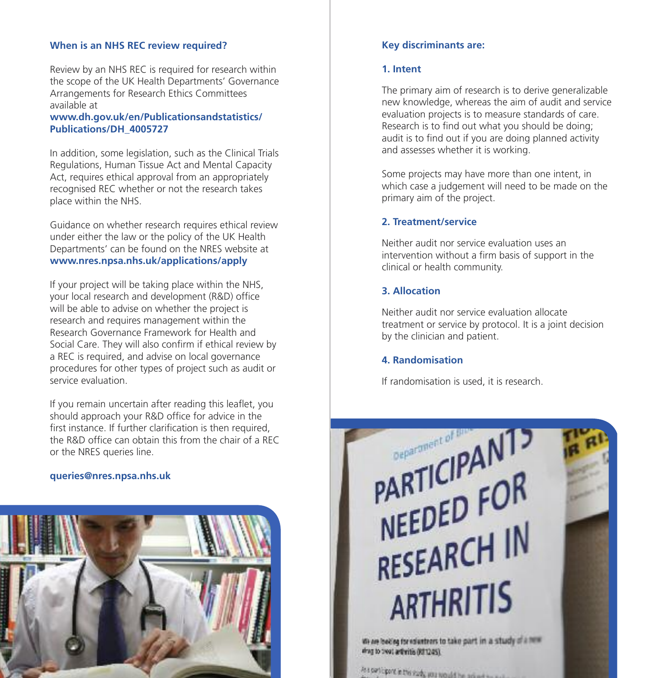# **When is an NHS REC review required?**

Review by an NHS REC is required for research within the scope of the UK Health Departments' Governance Arrangements for Research Ethics Committees available at

**www.dh.gov.uk/en/Publicationsandstatistics/ Publications/DH\_4005727**

In addition, some legislation, such as the Clinical Trials Regulations, Human Tissue Act and Mental Capacity Act, requires ethical approval from an appropriately recognised REC whether or not the research takes place within the NHS.

Guidance on whether research requires ethical review under either the law or the policy of the UK Health Departments' can be found on the NRES website at **www.nres.npsa.nhs.uk/applications/apply**

If your project will be taking place within the NHS, your local research and development (R&D) office will be able to advise on whether the project is research and requires management within the Research Governance Framework for Health and Social Care. They will also confirm if ethical review by a REC is required, and advise on local governance procedures for other types of project such as audit or service evaluation.

If you remain uncertain after reading this leaflet, you should approach your R&D office for advice in the first instance. If further clarification is then required, the R&D office can obtain this from the chair of a REC or the NRES queries line.

### **queries@nres.npsa.nhs.uk**



# **Key discriminants are:**

## **1. Intent**

The primary aim of research is to derive generalizable new knowledge, whereas the aim of audit and service evaluation projects is to measure standards of care. Research is to find out what you should be doing; audit is to find out if you are doing planned activity and assesses whether it is working.

Some projects may have more than one intent, in which case a judgement will need to be made on the primary aim of the project.

# **2. Treatment/service**

Neither audit nor service evaluation uses an intervention without a firm basis of support in the clinical or health community.

# **3. Allocation**

Neither audit nor service evaluation allocate treatment or service by protocol. It is a joint decision by the clinician and patient.

### **4. Randomisation**

If randomisation is used, it is research.

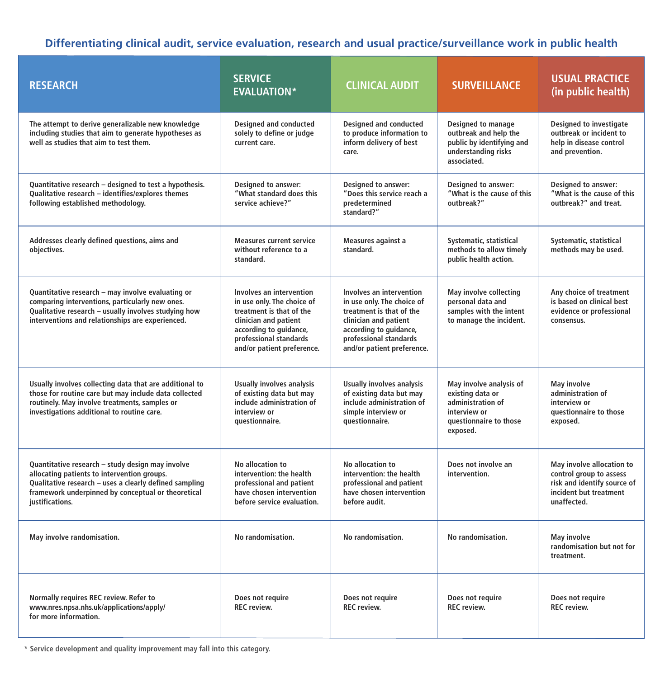**Differentiating clinical audit, service evaluation, research and usual practice/surveillance work in public health**

| <b>RESEARCH</b>                                                                                                                                                                                                                    | <b>SERVICE</b><br><b>EVALUATION*</b>                                                                                                                                                          | <b>CLINICAL AUDIT</b>                                                                                                                                                                         | <b>SURVEILLANCE</b>                                                                                                    | <b>USUAL PRACTICE</b><br>(in public health)                                                                                  |
|------------------------------------------------------------------------------------------------------------------------------------------------------------------------------------------------------------------------------------|-----------------------------------------------------------------------------------------------------------------------------------------------------------------------------------------------|-----------------------------------------------------------------------------------------------------------------------------------------------------------------------------------------------|------------------------------------------------------------------------------------------------------------------------|------------------------------------------------------------------------------------------------------------------------------|
| The attempt to derive generalizable new knowledge<br>including studies that aim to generate hypotheses as<br>well as studies that aim to test them.                                                                                | <b>Designed and conducted</b><br>solely to define or judge<br>current care.                                                                                                                   | Designed and conducted<br>to produce information to<br>inform delivery of best<br>care.                                                                                                       | Designed to manage<br>outbreak and help the<br>public by identifying and<br>understanding risks<br>associated.         | <b>Designed to investigate</b><br>outbreak or incident to<br>help in disease control<br>and prevention.                      |
| Quantitative research - designed to test a hypothesis.<br>Qualitative research - identifies/explores themes<br>following established methodology.                                                                                  | Designed to answer:<br>"What standard does this<br>service achieve?"                                                                                                                          | Designed to answer:<br>"Does this service reach a<br>predetermined<br>standard?"                                                                                                              | Designed to answer:<br>"What is the cause of this<br>outbreak?"                                                        | <b>Designed to answer:</b><br>"What is the cause of this<br>outbreak?" and treat.                                            |
| Addresses clearly defined questions, aims and<br>objectives.                                                                                                                                                                       | <b>Measures current service</b><br>without reference to a<br>standard.                                                                                                                        | Measures against a<br>standard.                                                                                                                                                               | Systematic, statistical<br>methods to allow timely<br>public health action.                                            | Systematic, statistical<br>methods may be used.                                                                              |
| Quantitative research - may involve evaluating or<br>comparing interventions, particularly new ones.<br>Qualitative research - usually involves studying how<br>interventions and relationships are experienced.                   | Involves an intervention<br>in use only. The choice of<br>treatment is that of the<br>clinician and patient<br>according to guidance,<br>professional standards<br>and/or patient preference. | Involves an intervention<br>in use only. The choice of<br>treatment is that of the<br>clinician and patient<br>according to guidance,<br>professional standards<br>and/or patient preference. | May involve collecting<br>personal data and<br>samples with the intent<br>to manage the incident.                      | Any choice of treatment<br>is based on clinical best<br>evidence or professional<br>consensus.                               |
| Usually involves collecting data that are additional to<br>those for routine care but may include data collected<br>routinely. May involve treatments, samples or<br>investigations additional to routine care.                    | <b>Usually involves analysis</b><br>of existing data but may<br>include administration of<br>interview or<br>questionnaire.                                                                   | <b>Usually involves analysis</b><br>of existing data but may<br>include administration of<br>simple interview or<br>questionnaire.                                                            | May involve analysis of<br>existing data or<br>administration of<br>interview or<br>questionnaire to those<br>exposed. | May involve<br>administration of<br>interview or<br>questionnaire to those<br>exposed.                                       |
| Quantitative research - study design may involve<br>allocating patients to intervention groups.<br>Qualitative research - uses a clearly defined sampling<br>framework underpinned by conceptual or theoretical<br>justifications. | No allocation to<br>intervention: the health<br>professional and patient<br>have chosen intervention<br>before service evaluation.                                                            | No allocation to<br>intervention: the health<br>professional and patient<br>have chosen intervention<br>before audit.                                                                         | Does not involve an<br>intervention.                                                                                   | May involve allocation to<br>control group to assess<br>risk and identify source of<br>incident but treatment<br>unaffected. |
| May involve randomisation.                                                                                                                                                                                                         | No randomisation.                                                                                                                                                                             | No randomisation.                                                                                                                                                                             | No randomisation.                                                                                                      | May involve<br>randomisation but not for<br>treatment.                                                                       |
| Normally requires REC review. Refer to<br>www.nres.npsa.nhs.uk/applications/apply/<br>for more information.                                                                                                                        | Does not require<br><b>REC</b> review.                                                                                                                                                        | Does not require<br><b>REC</b> review.                                                                                                                                                        | Does not require<br><b>REC</b> review.                                                                                 | Does not require<br><b>REC</b> review.                                                                                       |

**\* Service development and quality improvement may fall into this category.**